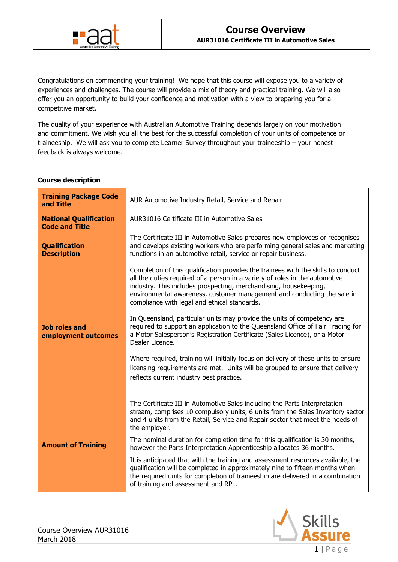

Congratulations on commencing your training! We hope that this course will expose you to a variety of experiences and challenges. The course will provide a mix of theory and practical training. We will also offer you an opportunity to build your confidence and motivation with a view to preparing you for a competitive market.

The quality of your experience with Australian Automotive Training depends largely on your motivation and commitment. We wish you all the best for the successful completion of your units of competence or traineeship. We will ask you to complete Learner Survey throughout your traineeship – your honest feedback is always welcome.

| <b>Course description</b> |  |
|---------------------------|--|
|                           |  |

| <b>Training Package Code</b><br>and Title              | AUR Automotive Industry Retail, Service and Repair                                                                                                                                                                                                                                                                                                                                                                                                                                                                                                                                                                                                                                                                                                                                                                                                 |  |
|--------------------------------------------------------|----------------------------------------------------------------------------------------------------------------------------------------------------------------------------------------------------------------------------------------------------------------------------------------------------------------------------------------------------------------------------------------------------------------------------------------------------------------------------------------------------------------------------------------------------------------------------------------------------------------------------------------------------------------------------------------------------------------------------------------------------------------------------------------------------------------------------------------------------|--|
| <b>National Qualification</b><br><b>Code and Title</b> | AUR31016 Certificate III in Automotive Sales                                                                                                                                                                                                                                                                                                                                                                                                                                                                                                                                                                                                                                                                                                                                                                                                       |  |
| <b>Qualification</b><br><b>Description</b>             | The Certificate III in Automotive Sales prepares new employees or recognises<br>and develops existing workers who are performing general sales and marketing<br>functions in an automotive retail, service or repair business.                                                                                                                                                                                                                                                                                                                                                                                                                                                                                                                                                                                                                     |  |
| <b>Job roles and</b><br>employment outcomes            | Completion of this qualification provides the trainees with the skills to conduct<br>all the duties required of a person in a variety of roles in the automotive<br>industry. This includes prospecting, merchandising, housekeeping,<br>environmental awareness, customer management and conducting the sale in<br>compliance with legal and ethical standards.<br>In Queensland, particular units may provide the units of competency are<br>required to support an application to the Queensland Office of Fair Trading for<br>a Motor Salesperson's Registration Certificate (Sales Licence), or a Motor<br>Dealer Licence.<br>Where required, training will initially focus on delivery of these units to ensure<br>licensing requirements are met. Units will be grouped to ensure that delivery<br>reflects current industry best practice. |  |
| <b>Amount of Training</b>                              | The Certificate III in Automotive Sales including the Parts Interpretation<br>stream, comprises 10 compulsory units, 6 units from the Sales Inventory sector<br>and 4 units from the Retail, Service and Repair sector that meet the needs of<br>the employer.<br>The nominal duration for completion time for this qualification is 30 months,<br>however the Parts Interpretation Apprenticeship allocates 36 months.<br>It is anticipated that with the training and assessment resources available, the<br>qualification will be completed in approximately nine to fifteen months when<br>the required units for completion of traineeship are delivered in a combination<br>of training and assessment and RPL.                                                                                                                              |  |

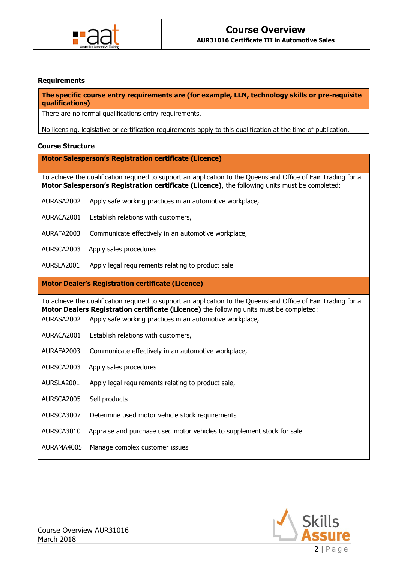

### **Requirements**

**The specific course entry requirements are (for example, LLN, technology skills or pre-requisite qualifications)**

There are no formal qualifications entry requirements.

No licensing, legislative or certification requirements apply to this qualification at the time of publication.

### **Course Structure**

**Motor Salesperson's Registration certificate (Licence)**

To achieve the qualification required to support an application to the Queensland Office of Fair Trading for a **Motor Salesperson's Registration certificate (Licence)**, the following units must be completed:

- AURASA2002 Apply safe working practices in an automotive workplace,
- AURACA2001 Establish relations with customers,
- AURAFA2003 Communicate effectively in an automotive workplace,
- AURSCA2003 Apply sales procedures
- AURSLA2001 Apply legal requirements relating to product sale

### **Motor Dealer's Registration certificate (Licence)**

To achieve the qualification required to support an application to the Queensland Office of Fair Trading for a **Motor Dealers Registration certificate (Licence)** the following units must be completed:

- AURASA2002 Apply safe working practices in an automotive workplace,
- AURACA2001 Establish relations with customers,
- AURAFA2003 Communicate effectively in an automotive workplace,
- AURSCA2003 Apply sales procedures
- AURSLA2001 Apply legal requirements relating to product sale,
- AURSCA2005 Sell products
- AURSCA3007 Determine used motor vehicle stock requirements
- AURSCA3010 Appraise and purchase used motor vehicles to supplement stock for sale
- AURAMA4005 Manage complex customer issues

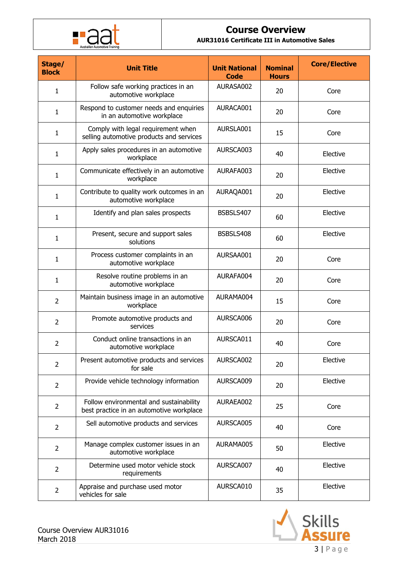

# **Course Overview**

**AUR31016 Certificate III in Automotive Sales**

| Stage/<br><b>Block</b> | <b>Unit Title</b>                                                                   | <b>Unit National</b><br><b>Code</b> | <b>Nominal</b><br><b>Hours</b> | <b>Core/Elective</b> |
|------------------------|-------------------------------------------------------------------------------------|-------------------------------------|--------------------------------|----------------------|
| $\mathbf{1}$           | Follow safe working practices in an<br>automotive workplace                         | AURASA002                           | 20                             | Core                 |
| 1                      | Respond to customer needs and enquiries<br>in an automotive workplace               | AURACA001                           | 20                             | Core                 |
| 1                      | Comply with legal requirement when<br>selling automotive products and services      | AURSLA001                           | 15                             | Core                 |
| 1                      | Apply sales procedures in an automotive<br>workplace                                | AURSCA003                           | 40                             | Elective             |
| 1                      | Communicate effectively in an automotive<br>workplace                               | AURAFA003                           | 20                             | Elective             |
| 1                      | Contribute to quality work outcomes in an<br>automotive workplace                   | AURAQA001                           | 20                             | Elective             |
| 1                      | Identify and plan sales prospects                                                   | BSBSLS407                           | 60                             | Elective             |
| 1                      | Present, secure and support sales<br>solutions                                      | BSBSLS408                           | 60                             | Elective             |
| 1                      | Process customer complaints in an<br>automotive workplace                           | AURSAA001                           | 20                             | Core                 |
| 1                      | Resolve routine problems in an<br>automotive workplace                              | AURAFA004                           | 20                             | Core                 |
| $\overline{2}$         | Maintain business image in an automotive<br>workplace                               | AURAMA004                           | 15                             | Core                 |
| 2                      | Promote automotive products and<br>services                                         | AURSCA006                           | 20                             | Core                 |
| $\overline{2}$         | Conduct online transactions in an<br>automotive workplace                           | AURSCA011                           | 40                             | Core                 |
| $\overline{2}$         | Present automotive products and services<br>for sale                                | AURSCA002                           | 20                             | Elective             |
| $\overline{2}$         | Provide vehicle technology information                                              | AURSCA009                           | 20                             | Elective             |
| $\overline{2}$         | Follow environmental and sustainability<br>best practice in an automotive workplace | AURAEA002                           | 25                             | Core                 |
| $\overline{2}$         | Sell automotive products and services                                               | AURSCA005                           | 40                             | Core                 |
| $\overline{2}$         | Manage complex customer issues in an<br>automotive workplace                        | AURAMA005                           | 50                             | Elective             |
| $\overline{2}$         | Determine used motor vehicle stock<br>requirements                                  | AURSCA007                           | 40                             | Elective             |
| $\overline{2}$         | Appraise and purchase used motor<br>vehicles for sale                               | AURSCA010                           | 35                             | Elective             |

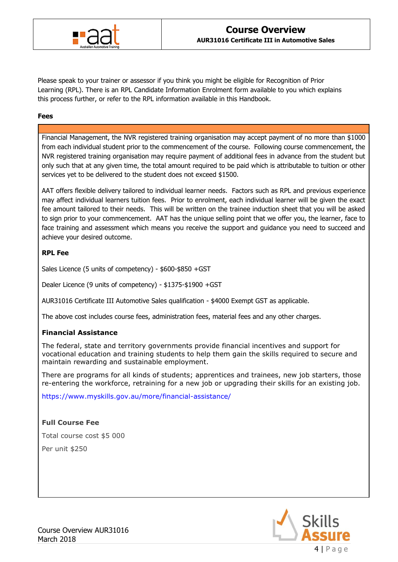

Please speak to your trainer or assessor if you think you might be eligible for Recognition of Prior Learning (RPL). There is an RPL Candidate Information Enrolment form available to you which explains this process further, or refer to the RPL information available in this Handbook.

### **Fees**

Financial Management, the NVR registered training organisation may accept payment of no more than \$1000 from each individual student prior to the commencement of the course. Following course commencement, the NVR registered training organisation may require payment of additional fees in advance from the student but only such that at any given time, the total amount required to be paid which is attributable to tuition or other services yet to be delivered to the student does not exceed \$1500.

AAT offers flexible delivery tailored to individual learner needs. Factors such as RPL and previous experience may affect individual learners tuition fees. Prior to enrolment, each individual learner will be given the exact fee amount tailored to their needs. This will be written on the trainee induction sheet that you will be asked to sign prior to your commencement. AAT has the unique selling point that we offer you, the learner, face to face training and assessment which means you receive the support and guidance you need to succeed and achieve your desired outcome.

## **RPL Fee**

Sales Licence (5 units of competency) - \$600-\$850 +GST

Dealer Licence (9 units of competency) - \$1375-\$1900 +GST

AUR31016 Certificate III Automotive Sales qualification - \$4000 Exempt GST as applicable.

The above cost includes course fees, administration fees, material fees and any other charges.

## **Financial Assistance**

The federal, state and territory governments provide financial incentives and support for vocational education and training students to help them gain the skills required to secure and maintain rewarding and sustainable employment.

There are programs for all kinds of students; apprentices and trainees, new job starters, those re-entering the workforce, retraining for a new job or upgrading their skills for an existing job.

<https://www.myskills.gov.au/more/financial-assistance/>

## **Full Course Fee**

Total course cost \$5 000

Per unit \$250

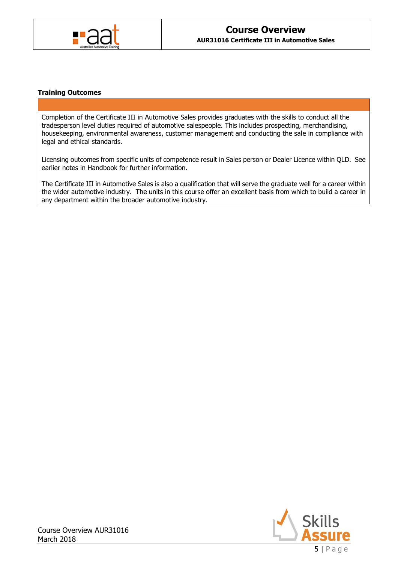

### **Training Outcomes**

Completion of the Certificate III in Automotive Sales provides graduates with the skills to conduct all the tradesperson level duties required of automotive salespeople. This includes prospecting, merchandising, housekeeping, environmental awareness, customer management and conducting the sale in compliance with legal and ethical standards.

Licensing outcomes from specific units of competence result in Sales person or Dealer Licence within QLD. See earlier notes in Handbook for further information.

The Certificate III in Automotive Sales is also a qualification that will serve the graduate well for a career within the wider automotive industry. The units in this course offer an excellent basis from which to build a career in any department within the broader automotive industry.

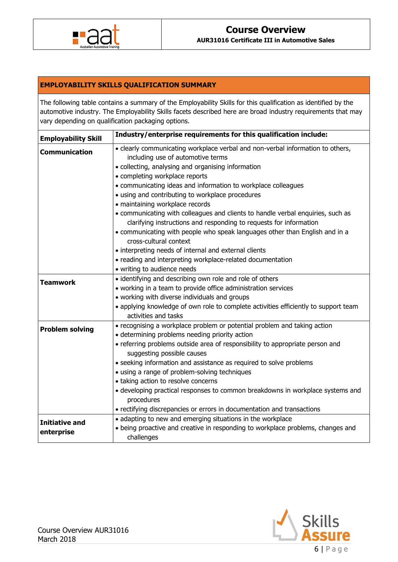

# **EMPLOYABILITY SKILLS QUALIFICATION SUMMARY**

The following table contains a summary of the Employability Skills for this qualification as identified by the automotive industry. The Employability Skills facets described here are broad industry requirements that may vary depending on qualification packaging options.

| Industry/enterprise requirements for this qualification include:<br><b>Employability Skill</b> |                                                                                                                                                       |  |  |  |
|------------------------------------------------------------------------------------------------|-------------------------------------------------------------------------------------------------------------------------------------------------------|--|--|--|
| <b>Communication</b>                                                                           | • clearly communicating workplace verbal and non-verbal information to others,<br>including use of automotive terms                                   |  |  |  |
|                                                                                                | • collecting, analysing and organising information                                                                                                    |  |  |  |
|                                                                                                | • completing workplace reports                                                                                                                        |  |  |  |
|                                                                                                | • communicating ideas and information to workplace colleagues                                                                                         |  |  |  |
|                                                                                                | • using and contributing to workplace procedures                                                                                                      |  |  |  |
|                                                                                                | · maintaining workplace records                                                                                                                       |  |  |  |
|                                                                                                | • communicating with colleagues and clients to handle verbal enquiries, such as<br>clarifying instructions and responding to requests for information |  |  |  |
|                                                                                                | • communicating with people who speak languages other than English and in a                                                                           |  |  |  |
|                                                                                                | cross-cultural context                                                                                                                                |  |  |  |
|                                                                                                | • interpreting needs of internal and external clients                                                                                                 |  |  |  |
|                                                                                                | • reading and interpreting workplace-related documentation                                                                                            |  |  |  |
|                                                                                                | • writing to audience needs                                                                                                                           |  |  |  |
|                                                                                                | • identifying and describing own role and role of others                                                                                              |  |  |  |
| <b>Teamwork</b>                                                                                | • working in a team to provide office administration services                                                                                         |  |  |  |
|                                                                                                | • working with diverse individuals and groups                                                                                                         |  |  |  |
|                                                                                                | • applying knowledge of own role to complete activities efficiently to support team                                                                   |  |  |  |
|                                                                                                | activities and tasks                                                                                                                                  |  |  |  |
| <b>Problem solving</b>                                                                         | • recognising a workplace problem or potential problem and taking action                                                                              |  |  |  |
|                                                                                                | • determining problems needing priority action                                                                                                        |  |  |  |
|                                                                                                | • referring problems outside area of responsibility to appropriate person and                                                                         |  |  |  |
|                                                                                                | suggesting possible causes                                                                                                                            |  |  |  |
|                                                                                                | • seeking information and assistance as required to solve problems                                                                                    |  |  |  |
|                                                                                                | • using a range of problem-solving techniques                                                                                                         |  |  |  |
|                                                                                                | • taking action to resolve concerns                                                                                                                   |  |  |  |
|                                                                                                | · developing practical responses to common breakdowns in workplace systems and<br>procedures                                                          |  |  |  |
|                                                                                                | • rectifying discrepancies or errors in documentation and transactions                                                                                |  |  |  |
| <b>Initiative and</b>                                                                          | • adapting to new and emerging situations in the workplace                                                                                            |  |  |  |
| enterprise                                                                                     | • being proactive and creative in responding to workplace problems, changes and                                                                       |  |  |  |
|                                                                                                | challenges                                                                                                                                            |  |  |  |

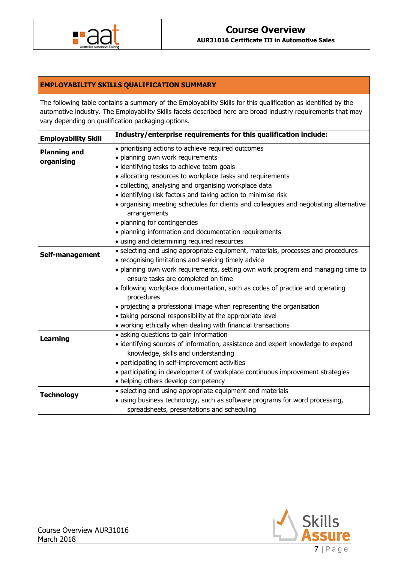

# **EMPLOYABILITY SKILLS QUALIFICATION SUMMARY**

The following table contains a summary of the Employability Skills for this qualification as identified by the automotive industry. The Employability Skills facets described here are broad industry requirements that may vary depending on qualification packaging options.

| <b>Employability Skill</b> | Industry/enterprise requirements for this qualification include:                                      |  |  |  |
|----------------------------|-------------------------------------------------------------------------------------------------------|--|--|--|
| <b>Planning and</b>        | • prioritising actions to achieve required outcomes                                                   |  |  |  |
| organising                 | · planning own work requirements                                                                      |  |  |  |
|                            | · identifying tasks to achieve team goals                                                             |  |  |  |
|                            | · allocating resources to workplace tasks and requirements                                            |  |  |  |
|                            | · collecting, analysing and organising workplace data                                                 |  |  |  |
|                            | • identifying risk factors and taking action to minimise risk                                         |  |  |  |
|                            | • organising meeting schedules for clients and colleagues and negotiating alternative<br>arrangements |  |  |  |
|                            | • planning for contingencies                                                                          |  |  |  |
|                            | • planning information and documentation requirements                                                 |  |  |  |
|                            | • using and determining required resources                                                            |  |  |  |
|                            | • selecting and using appropriate equipment, materials, processes and procedures                      |  |  |  |
| Self-management            | • recognising limitations and seeking timely advice                                                   |  |  |  |
|                            | . planning own work requirements, setting own work program and managing time to                       |  |  |  |
|                            | ensure tasks are completed on time                                                                    |  |  |  |
|                            | • following workplace documentation, such as codes of practice and operating                          |  |  |  |
|                            | procedures                                                                                            |  |  |  |
|                            | • projecting a professional image when representing the organisation                                  |  |  |  |
|                            | • taking personal responsibility at the appropriate level                                             |  |  |  |
|                            | • working ethically when dealing with financial transactions                                          |  |  |  |
| Learning                   | • asking questions to gain information                                                                |  |  |  |
|                            | • identifying sources of information, assistance and expert knowledge to expand                       |  |  |  |
|                            | knowledge, skills and understanding                                                                   |  |  |  |
|                            | • participating in self-improvement activities                                                        |  |  |  |
|                            | • participating in development of workplace continuous improvement strategies                         |  |  |  |
|                            | • helping others develop competency                                                                   |  |  |  |
|                            | • selecting and using appropriate equipment and materials                                             |  |  |  |
| <b>Technology</b>          | · using business technology, such as software programs for word processing,                           |  |  |  |
|                            | spreadsheets, presentations and scheduling                                                            |  |  |  |

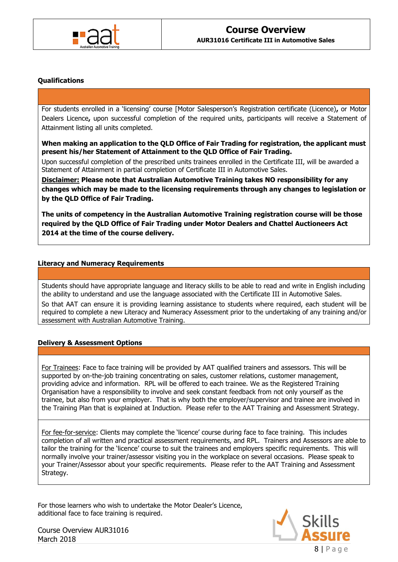

### **Qualifications**

For students enrolled in a 'licensing' course [Motor Salesperson's Registration certificate (Licence)**,** or Motor Dealers Licence**,** upon successful completion of the required units, participants will receive a Statement of Attainment listing all units completed.

**When making an application to the QLD Office of Fair Trading for registration, the applicant must present his/her Statement of Attainment to the QLD Office of Fair Trading.**

Upon successful completion of the prescribed units trainees enrolled in the Certificate III, will be awarded a Statement of Attainment in partial completion of Certificate III in Automotive Sales.

**Disclaimer: Please note that Australian Automotive Training takes NO responsibility for any changes which may be made to the licensing requirements through any changes to legislation or by the QLD Office of Fair Trading.** 

**The units of competency in the Australian Automotive Training registration course will be those required by the QLD Office of Fair Trading under Motor Dealers and Chattel Auctioneers Act 2014 at the time of the course delivery.** 

### **Literacy and Numeracy Requirements**

Students should have appropriate language and literacy skills to be able to read and write in English including the ability to understand and use the language associated with the Certificate III in Automotive Sales.

So that AAT can ensure it is providing learning assistance to students where required, each student will be required to complete a new Literacy and Numeracy Assessment prior to the undertaking of any training and/or assessment with Australian Automotive Training.

### **Delivery & Assessment Options**

For Trainees: Face to face training will be provided by AAT qualified trainers and assessors. This will be supported by on-the-job training concentrating on sales, customer relations, customer management, providing advice and information. RPL will be offered to each trainee. We as the Registered Training Organisation have a responsibility to involve and seek constant feedback from not only yourself as the trainee, but also from your employer. That is why both the employer/supervisor and trainee are involved in the Training Plan that is explained at Induction. Please refer to the AAT Training and Assessment Strategy.

For fee-for-service: Clients may complete the 'licence' course during face to face training. This includes completion of all written and practical assessment requirements, and RPL. Trainers and Assessors are able to tailor the training for the 'licence' course to suit the trainees and employers specific requirements. This will normally involve your trainer/assessor visiting you in the workplace on several occasions. Please speak to your Trainer/Assessor about your specific requirements. Please refer to the AAT Training and Assessment Strategy.

For those learners who wish to undertake the Motor Dealer's Licence, additional face to face training is required.

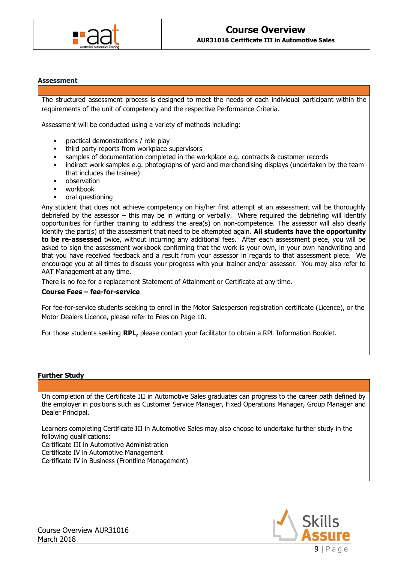

#### **Assessment**

The structured assessment process is designed to meet the needs of each individual participant within the requirements of the unit of competency and the respective Performance Criteria.

Assessment will be conducted using a variety of methods including:

- practical demonstrations / role play
- third party reports from workplace supervisors
- samples of documentation completed in the workplace e.g. contracts & customer records
- indirect work samples e.g. photographs of yard and merchandising displays (undertaken by the team that includes the trainee)
- observation
- workbook
- oral questioning

Any student that does not achieve competency on his/her first attempt at an assessment will be thoroughly debriefed by the assessor – this may be in writing or verbally. Where required the debriefing will identify opportunities for further training to address the area(s) on non-competence. The assessor will also clearly identify the part(s) of the assessment that need to be attempted again. **All students have the opportunity to be re-assessed** twice, without incurring any additional fees. After each assessment piece, you will be asked to sign the assessment workbook confirming that the work is your own, in your own handwriting and that you have received feedback and a result from your assessor in regards to that assessment piece. We encourage you at all times to discuss your progress with your trainer and/or assessor. You may also refer to AAT Management at any time.

There is no fee for a replacement Statement of Attainment or Certificate at any time.

### **Course Fees – fee-for-service**

For fee-for-service students seeking to enrol in the Motor Salesperson registration certificate (Licence), or the Motor Dealers Licence, please refer to Fees on Page 10.

For those students seeking **RPL,** please contact your facilitator to obtain a RPL Information Booklet.

### **Further Study**

On completion of the Certificate III in Automotive Sales graduates can progress to the career path defined by the employer in positions such as Customer Service Manager, Fixed Operations Manager, Group Manager and Dealer Principal.

Learners completing Certificate III in Automotive Sales may also choose to undertake further study in the following qualifications:

Certificate III in Automotive Administration

Certificate IV in Automotive Management

Certificate IV in Business (Frontline Management)

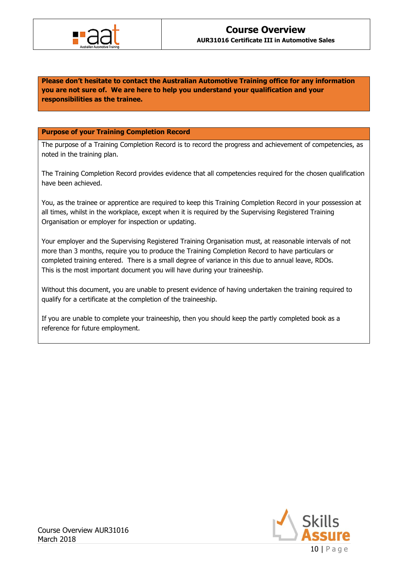

**Please don't hesitate to contact the Australian Automotive Training office for any information you are not sure of. We are here to help you understand your qualification and your responsibilities as the trainee.**

### **Purpose of your Training Completion Record**

The purpose of a Training Completion Record is to record the progress and achievement of competencies, as noted in the training plan.

The Training Completion Record provides evidence that all competencies required for the chosen qualification have been achieved.

You, as the trainee or apprentice are required to keep this Training Completion Record in your possession at all times, whilst in the workplace, except when it is required by the Supervising Registered Training Organisation or employer for inspection or updating.

Your employer and the Supervising Registered Training Organisation must, at reasonable intervals of not more than 3 months, require you to produce the Training Completion Record to have particulars or completed training entered. There is a small degree of variance in this due to annual leave, RDOs. This is the most important document you will have during your traineeship.

Without this document, you are unable to present evidence of having undertaken the training required to qualify for a certificate at the completion of the traineeship.

If you are unable to complete your traineeship, then you should keep the partly completed book as a reference for future employment.

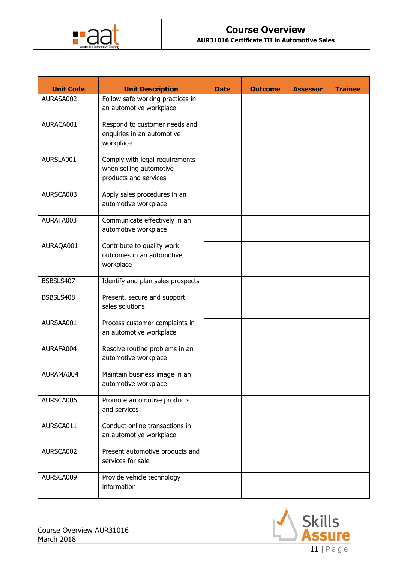

**AUR31016 Certificate III in Automotive Sales**

| <b>Unit Code</b> | <b>Unit Description</b>                                                            | <b>Date</b> | <b>Outcome</b> | <b>Assessor</b> | <b>Trainee</b> |
|------------------|------------------------------------------------------------------------------------|-------------|----------------|-----------------|----------------|
| AURASA002        | Follow safe working practices in<br>an automotive workplace                        |             |                |                 |                |
| AURACA001        | Respond to customer needs and<br>enquiries in an automotive<br>workplace           |             |                |                 |                |
| AURSLA001        | Comply with legal requirements<br>when selling automotive<br>products and services |             |                |                 |                |
| AURSCA003        | Apply sales procedures in an<br>automotive workplace                               |             |                |                 |                |
| AURAFA003        | Communicate effectively in an<br>automotive workplace                              |             |                |                 |                |
| AURAQA001        | Contribute to quality work<br>outcomes in an automotive<br>workplace               |             |                |                 |                |
| BSBSLS407        | Identify and plan sales prospects                                                  |             |                |                 |                |
| BSBSLS408        | Present, secure and support<br>sales solutions                                     |             |                |                 |                |
| AURSAA001        | Process customer complaints in<br>an automotive workplace                          |             |                |                 |                |
| AURAFA004        | Resolve routine problems in an<br>automotive workplace                             |             |                |                 |                |
| AURAMA004        | Maintain business image in an<br>automotive workplace                              |             |                |                 |                |
| AURSCA006        | Promote automotive products<br>and services                                        |             |                |                 |                |
| AURSCA011        | Conduct online transactions in<br>an automotive workplace                          |             |                |                 |                |
| AURSCA002        | Present automotive products and<br>services for sale                               |             |                |                 |                |
| AURSCA009        | Provide vehicle technology<br>information                                          |             |                |                 |                |